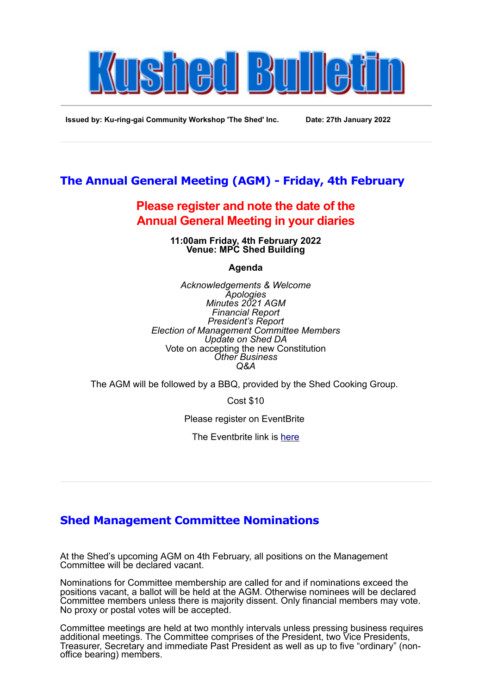

**Issued by: Ku-ring-gai Community Workshop 'The Shed' Inc. Date: 27th January 2022**

## **The Annual General Meeting (AGM) - Friday, 4th February**

## **Please register and note the date of the Annual General Meeting in your diaries**

**11:00am Friday, 4th February 2022 Venue: MPC Shed Building**

**Agenda**

*Acknowledgements & Welcome Apologies Minutes 2021 AGM Financial Report President's Report Election of Management Committee Members Update on Shed DA* Vote on accepting the new Constitution *Other Business Q&A*

The AGM will be followed by a BBQ, provided by the Shed Cooking Group.

Cost \$10

Please register on EventBrite

The Eventbrite link is [here](https://shedagm.eventbrite.com.au/)

## **Shed Management Committee Nominations**

At the Shed's upcoming AGM on 4th February, all positions on the Management Committee will be declared vacant.

Nominations for Committee membership are called for and if nominations exceed the positions vacant, a ballot will be held at the AGM. Otherwise nominees will be declared Committee members unless there is majority dissent. Only financial members may vote. No proxy or postal votes will be accepted.

Committee meetings are held at two monthly intervals unless pressing business requires additional meetings. The Committee comprises of the President, two Vice Presidents, Treasurer, Secretary and immediate Past President as well as up to five "ordinary" (nonoffice bearing) members.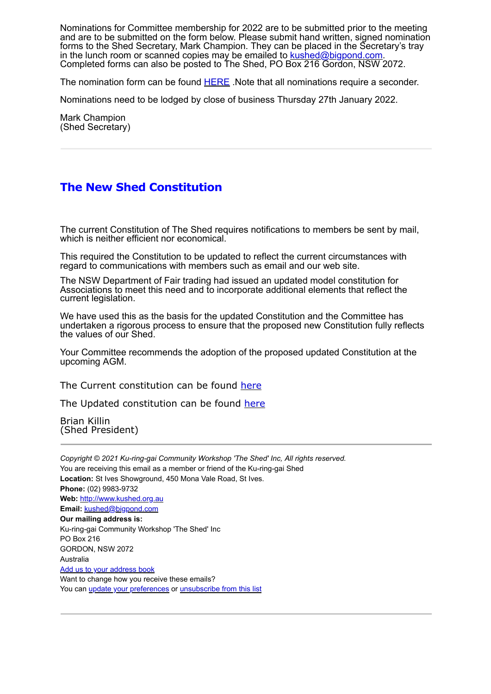Nominations for Committee membership for 2022 are to be submitted prior to the meeting and are to be submitted on the form below. Please submit hand written, signed nomination forms to the Shed Secretary, Mark Champion. They can be placed in the Secretary's tray in the lunch room or scanned copies may be emailed to **[kushed@bigpond.com](mailto:kushed@bigpond.com).** Completed forms can also be posted to The Shed, PO Box 216 Gordon, NSW 2072.

The nomination form can be found **[HERE](http://www.kushed.org.au/Web-files/NOMINATION-FOR-OFFICE-OR-COMMITTEE-2019.pdf)** .Note that all nominations require a seconder.

Nominations need to be lodged by close of business Thursday 27th January 2022.

Mark Champion (Shed Secretary)

## **The New Shed Constitution**

The current Constitution of The Shed requires notifications to members be sent by mail, which is neither efficient nor economical.

This required the Constitution to be updated to reflect the current circumstances with regard to communications with members such as email and our web site.

The NSW Department of Fair trading had issued an updated model constitution for Associations to meet this need and to incorporate additional elements that reflect the current legislation.

We have used this as the basis for the updated Constitution and the Committee has undertaken a rigorous process to ensure that the proposed new Constitution fully reflects the values of our Shed.

Your Committee recommends the adoption of the proposed updated Constitution at the upcoming AGM.

The Current constitution can be found [here](http://www.kushed.org.au/Web-files/The_Shed_Constitution_as_Amended_November_17_2011.pdf)

The Updated constitution can be found [here](http://www.kushed.org.au/Web-files/Proposed%20Constitution%20-%20Ku-ring-gai%20Community%20Workshop%20_%20The%20Shed_.pdf)

Brian Killin (Shed President)

*Copyright © 2021 Ku-ring-gai Community Workshop 'The Shed' Inc, All rights reserved.* You are receiving this email as a member or friend of the Ku-ring-gai Shed **Location:** St Ives Showground, 450 Mona Vale Road, St Ives. **Phone:** (02) 9983-9732 **Web:** [http://www.kushed.org.au](http://www.kushed.org.au/) **Email:** [kushed@bigpond.com](mailto:http://www.kushed.org.au/?subject=Ku-ring-gai%20Shed) **Our mailing address is:** Ku-ring-gai Community Workshop 'The Shed' Inc PO Box 216 GORDON, NSW 2072 Australia [Add us to your address book](http://kushed.us7.list-manage.com/vcard?u=de37976e53800c64f9d9628b6&id=ff4785b085) Want to change how you receive these emails? You can *[update your preferences](http://kushed.us7.list-manage.com/profile?u=de37976e53800c64f9d9628b6&id=ff4785b085&e=[UNIQID])* or *[unsubscribe from this list](http://kushed.us7.list-manage1.com/unsubscribe?u=de37976e53800c64f9d9628b6&id=ff4785b085&e=[UNIQID]&c=cd51f2c582)*